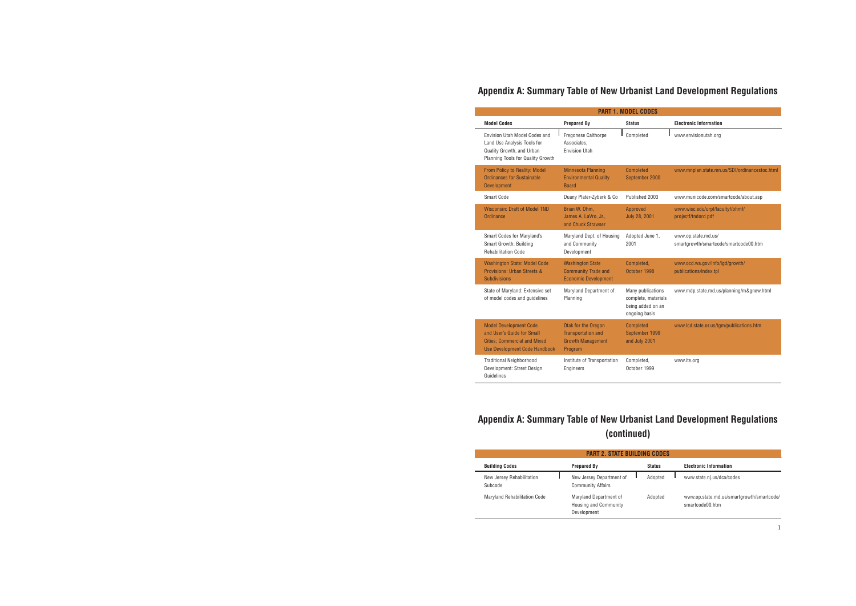| <b>PART 2. STATE BUILDING CODES</b>  |                                                                       |               |                                                              |  |  |
|--------------------------------------|-----------------------------------------------------------------------|---------------|--------------------------------------------------------------|--|--|
| <b>Building Codes</b>                | <b>Prepared By</b>                                                    | <b>Status</b> | <b>Electronic Information</b>                                |  |  |
| New Jersey Rehabilitation<br>Subcode | New Jersey Department of<br><b>Community Affairs</b>                  | Adopted       | www.state.nj.us/dca/codes                                    |  |  |
| Maryland Rehabilitation Code         | Maryland Department of<br><b>Housing and Community</b><br>Development | Adopted       | www.op.state.md.us/smartgrowth/smartcode/<br>smartcode00.htm |  |  |

# **Appendix A: Summary Table of New Urbanist Land Development Regulations**

| <b>PART 1. MODEL CODES</b>                                                                                                                 |                                                                                         |                                                                                |                                                              |  |  |  |  |
|--------------------------------------------------------------------------------------------------------------------------------------------|-----------------------------------------------------------------------------------------|--------------------------------------------------------------------------------|--------------------------------------------------------------|--|--|--|--|
| <b>Model Codes</b>                                                                                                                         | <b>Prepared By</b>                                                                      | <b>Status</b>                                                                  | <b>Electronic Information</b>                                |  |  |  |  |
| Envision Utah Model Codes and<br>Land Use Analysis Tools for<br>Quality Growth, and Urban<br>Planning Tools for Quality Growth             | <b>Fregonese Calthorpe</b><br>Associates.<br><b>Envision Utah</b>                       | Completed                                                                      | www.envisionutah.org                                         |  |  |  |  |
| From Policy to Reality: Model<br><b>Ordinances for Sustainable</b><br><b>Development</b>                                                   | <b>Minnesota Planning</b><br><b>Environmental Quality</b><br><b>Board</b>               | <b>Completed</b><br>September 2000                                             | www.mnplan.state.mn.us/SDI/ordinancestoc.html                |  |  |  |  |
| Smart Code                                                                                                                                 | Duany Plater-Zyberk & Co                                                                | Published 2003                                                                 | www.municode.com/smartcode/about.asp                         |  |  |  |  |
| <b>Wisconsin: Draft of Model TND</b><br>Ordinance                                                                                          | Brian W. Ohm.<br>James A. LaVro, Jr.,<br>and Chuck Strawser                             | Approved<br><b>July 28, 2001</b>                                               | www.wisc.edu/urpl/facultyf/ohmf/<br>projectf/tndord.pdf      |  |  |  |  |
| Smart Codes for Maryland's<br>Smart Growth: Building<br><b>Rehabilitation Code</b>                                                         | Maryland Dept. of Housing<br>and Community<br>Development                               | Adopted June 1,<br>2001                                                        | www.op.state.md.us/<br>smartgrowth/smartcode/smartcode00.htm |  |  |  |  |
| <b>Washington State: Model Code</b><br>Provisions: Urban Streets &<br><b>Subdivisions</b>                                                  | <b>Washington State</b><br><b>Community Trade and</b><br><b>Economic Development</b>    | Completed,<br>October 1998                                                     | www.ocd.wa.gov/info/lgd/growth/<br>publications/index.tpl    |  |  |  |  |
| State of Maryland: Extensive set<br>of model codes and guidelines                                                                          | Maryland Department of<br>Planning                                                      | Many publications<br>complete, materials<br>being added on an<br>ongoing basis | www.mdp.state.md.us/planning/m&gnew.html                     |  |  |  |  |
| <b>Model Development Code</b><br>and User's Guide for Small<br><b>Cities: Commercial and Mixed</b><br><b>Use Development Code Handbook</b> | Otak for the Oregon<br><b>Transportation and</b><br><b>Growth Management</b><br>Program | <b>Completed</b><br>September 1999<br>and July 2001                            | www.lcd.state.or.us/tgm/publications.htm                     |  |  |  |  |
| <b>Traditional Neighborhood</b><br>Development: Street Design<br>Guidelines                                                                | Institute of Transportation<br><b>Engineers</b>                                         | Completed,<br>October 1999                                                     | www.ite.org                                                  |  |  |  |  |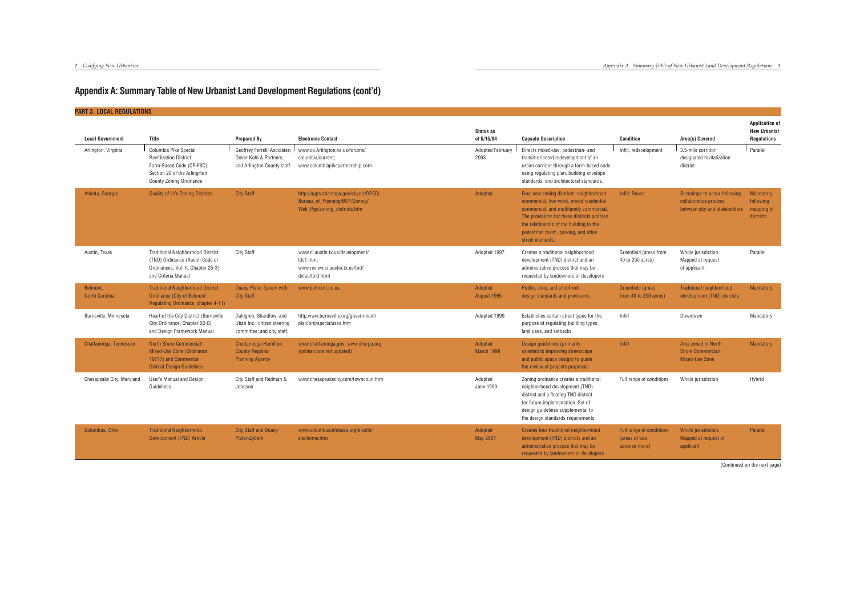| <b>PART 3. LOCAL REGULATIONS</b>  |                                                                                                                                                       |                                                                                      |                                                                                                           |                                 |                                                                                                                                                                                                                                                                                     |                                                             |                                                                                        |                                                                    |
|-----------------------------------|-------------------------------------------------------------------------------------------------------------------------------------------------------|--------------------------------------------------------------------------------------|-----------------------------------------------------------------------------------------------------------|---------------------------------|-------------------------------------------------------------------------------------------------------------------------------------------------------------------------------------------------------------------------------------------------------------------------------------|-------------------------------------------------------------|----------------------------------------------------------------------------------------|--------------------------------------------------------------------|
| <b>Local Government</b>           | Title                                                                                                                                                 | <b>Prepared By</b>                                                                   | <b>Electronic Contact</b>                                                                                 | Status as<br>of 5/15/04         | <b>Capsule Description</b>                                                                                                                                                                                                                                                          | <b>Condition</b>                                            | Area(s) Covered                                                                        | <b>Application of</b><br><b>New Urbanist</b><br><b>Regulations</b> |
| Arlington, Virginia               | Columbia Pike Special<br><b>Revitlization District</b><br>Form-Based Code (CP-FBC);<br>Section 20 of the Arlingrton<br><b>County Zoning Oridnance</b> | Geoffrey Ferrelll Asociates;<br>Dover Kohl & Partners:<br>and Arlington County staff | www.co.Arlington.va.us/forums/<br>columbia/current;<br>www.columbiapikepartnership.com                    | <b>Adopted February</b><br>2003 | Directs mixed-use, pedestrian- and<br>transit-oriented redevelopment of an<br>urban corridor through a form-based code<br>using regulating plan, building envelope<br>standards, and architectural standards.                                                                       | Infill, redevelopment                                       | 3.5-mile corridor.<br>designated revitalization<br>district                            | Parallel                                                           |
| Atlanta, Georgia                  | <b>Quality of Life Zoning Districts</b>                                                                                                               | <b>City Staff</b>                                                                    | http://apps.atlantaga.gov/citydir/DPCD/<br>Bureau_of_Planning/BOP/Zoning/<br>Web_Pgs/zoning_districts.htm | Adopted                         | Four new zoning districts: neighborhood<br>commercial, live-work, mixed residential<br>commercial, and multifamily commercial.<br>The provisions for these districts address<br>the relationship of the building to the<br>pedestrian realm, parking, and other<br>street elements. | Infill; Reuse                                               | Rezonings to occur following<br>collaborative process<br>between city and stakeholders | Mandatory,<br>following<br>mapping of<br>districts                 |
| Austin, Texas                     | <b>Traditional Neighborhood District</b><br>(TND) Ordinance (Austin Code of<br>Ordinances, Vol. II, Chapter 25-3)<br>and Criteria Manual              | <b>City Staff</b>                                                                    | www.ci.austin.tx.us/development/<br>Idc1.htm:<br>www.review.ci.austin.tx.us/tnd/<br>defaulttnd.html       | Adopted 1997                    | Creates a traditional neighborhood<br>development (TND) district and an<br>administrative process that may be<br>requested by landowners or developers                                                                                                                              | Greenfield (areas from<br>40 to 250 acres)                  | Whole jurisdiction.<br>Mapped at request<br>of applicant                               | Parallel                                                           |
| Belmont,<br><b>North Carolina</b> | <b>Traditional Neighborhood District</b><br><b>Ordinance (City of Belmont</b><br>Regulating Ordinance, chapter 4-11)                                  | Duany Plater Zyberk with<br><b>City Staff</b>                                        | www.belmont.nc.us                                                                                         | Adopted<br>August 1995          | Public, civic, and shopfront<br>design standards and provisions                                                                                                                                                                                                                     | Greenfield (areas<br>from 40 to 200 acres)                  | Traditional neighborhood<br>development (TND) districts                                | Mandatory                                                          |
| Burnsville, Minnesota             | Heart of the City District (Burnsville<br>City Ordinance, Chapter 22-B)<br>and Design Framework Manual                                                | Dahlgren, Shardlow, and<br>Uban Inc.; citizen steering<br>committee; and city staff. | http:www.burnsville.org/government/<br>plan/ord/specialuses.htm                                           | Adopted 1999                    | Establishes certain street types for the<br>purpose of regulating building types,<br>land uses, and setbacks.                                                                                                                                                                       | Infill                                                      | Downtown                                                                               | Mandatory                                                          |
| Chattanooga, Tennessee            | North Shore Commercial/<br>Mixed-Use Zone (Ordinance<br>10717) and Commerical<br><b>District Design Guidelines</b>                                    | Chattanooga-Hamilton<br><b>County Regional</b><br><b>Planning Agency</b>             | www.chattanooga.gov; www.chcrpa.org<br>(online code not updated)                                          | Adopted<br>March 1998           | Design guidelines (primarily<br>oriented to improving streetscape<br>and public space design) to guide<br>the review of projects proposals.                                                                                                                                         | Infill                                                      | Area zoned in North<br><b>Shore Commercial/</b><br>Mixed-Use Zone                      | Mandatory                                                          |
| Chesapeake City, Maryland         | User's Manual and Design<br>Guidelines                                                                                                                | City Staff and Redman &<br>Johnson                                                   | www.chesapeakecity.com/towncoun.htm                                                                       | Adopted<br><b>June 1999</b>     | Zoning ordinance creates a traditional<br>neighborhood development (TND)<br>district and a floating TND district<br>for future implementation. Set of<br>design guidelines supplemental to<br>the design standards requirements.                                                    | Full range of conditions                                    | Whole jurisdiction                                                                     | Hybrid                                                             |
| Columbus, Ohio                    | <b>Traditional Neighborhood</b><br>Development (TND) Article                                                                                          | <b>City Staff and Duany</b><br>Plater-Zyberk                                         | www.columbusinfobase.org/eleclib/<br>elechome.htm                                                         | Adopted<br>May 2001             | Creates four traditional neighborhood<br>development (TND) districts and an<br>administrative process that may be<br>requested by landowners or developers                                                                                                                          | Full range of conditions<br>(areas of two<br>acres or more) | Whole jurisdiction.<br>Mapped at request of<br>applicant                               | Parallel                                                           |

(Continued on the next page)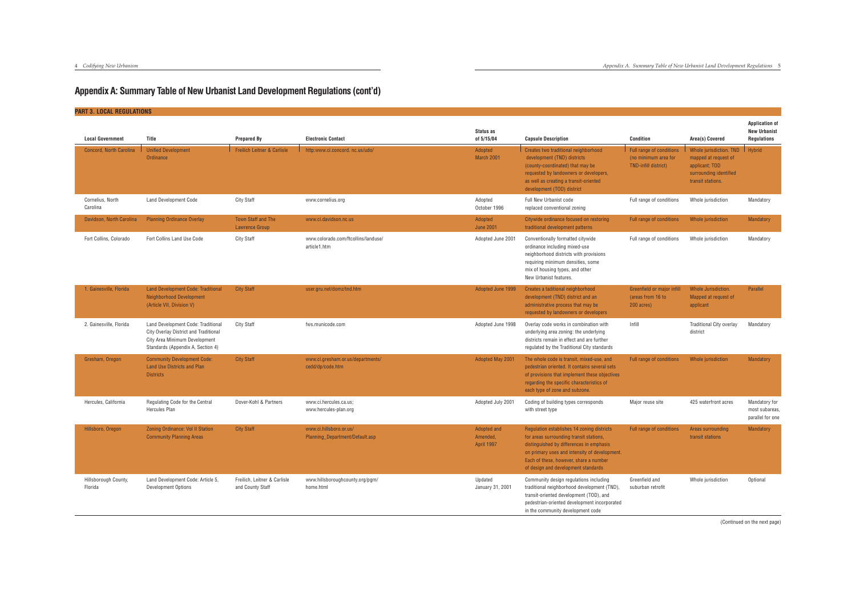#### **PART 3. LOCAL REGULATIONS**

| <b>Local Government</b>         | Title                                                                                                                                             | <b>Prepared By</b>                                 | <b>Electronic Contact</b>                                  | Status as<br>of 5/15/04                      | <b>Capsule Description</b>                                                                                                                                                                                                                                          | <b>Condition</b>                                                         | Area(s) Covered                                                                                                  | <b>Application of</b><br><b>New Urbanist</b><br><b>Regulations</b> |
|---------------------------------|---------------------------------------------------------------------------------------------------------------------------------------------------|----------------------------------------------------|------------------------------------------------------------|----------------------------------------------|---------------------------------------------------------------------------------------------------------------------------------------------------------------------------------------------------------------------------------------------------------------------|--------------------------------------------------------------------------|------------------------------------------------------------------------------------------------------------------|--------------------------------------------------------------------|
| <b>Concord, North Carolina</b>  | <b>Unified Development</b><br>Ordinance                                                                                                           | <b>Freilich Leitner &amp; Carlisle</b>             | http:www.ci.concord.nc.us/udo/                             | Adopted<br>March 2001                        | Creates two traditional neighborhood<br>development (TND) districts<br>(county-coordinated) that may be<br>requested by landowners or developers,<br>as well as creating a transit-oriented<br>development (TOD) district                                           | Full range of conditions<br>(no minimum area for<br>TND-infill district) | Whole jurisdiction. TND<br>mapped at request of<br>applicant; TOD<br>surrounding identified<br>transit stations. | Hybrid                                                             |
| Cornelius, North<br>Carolina    | <b>Land Development Code</b>                                                                                                                      | <b>City Staff</b>                                  | www.cornelius.org                                          | Adopted<br>October 1996                      | Full New Urbanist code<br>replaced conventional zoning                                                                                                                                                                                                              | Full range of conditions                                                 | Whole jurisdiction                                                                                               | Mandatory                                                          |
| Davidson, North Carolina        | <b>Planning Ordinance Overlay</b>                                                                                                                 | <b>Town Staff and The</b><br><b>Lawrence Group</b> | www.ci.davidson.nc.us                                      | Adopted<br><b>June 2001</b>                  | Citywide ordinance focused on restoring<br>traditional development patterns                                                                                                                                                                                         | Full range of conditions                                                 | Whole jurisdiction                                                                                               | Mandatory                                                          |
| Fort Collins, Colorado          | Fort Collins Land Use Code                                                                                                                        | <b>City Staff</b>                                  | www.colorado.com/ftcollins/landuse/<br>article1.htm        | Adopted June 2001                            | Conventionally formatted citywide<br>ordinance including mixed-use<br>neighborhood districts with provisions<br>requiring minimum densities, some<br>mix of housing types, and other<br>New Urbanist features.                                                      | Full range of conditions                                                 | Whole jurisdiction                                                                                               | Mandatory                                                          |
| 1. Gainesville, Florida         | <b>Land Development Code: Traditional</b><br><b>Neighborhood Development</b><br>(Article VII, Division V)                                         | <b>City Staff</b>                                  | user.gru.net/domz/tnd.htm                                  | Adopted June 1999                            | Creates a taditional neighborhood<br>development (TND) district and an<br>administrative process that may be<br>requested by landowners or developers                                                                                                               | Greenfield or major infill<br>(areas from 16 to<br>200 acres)            | Whole Jurisdiction.<br>Mapped at request of<br>applicant                                                         | Parallel                                                           |
| 2. Gainesville, Florida         | Land Development Code: Traditional<br>City Overlay District and Traditional<br>City Area Minimum Development<br>Standards (Appendix A, Section 4) | <b>City Staff</b>                                  | fws.municode.com                                           | Adopted June 1998                            | Overlay code works in combination with<br>underlying area zoning: the underlying<br>districts remain in effect and are further<br>regulated by the Traditional City standards                                                                                       | Infill                                                                   | <b>Traditional City overlay</b><br>district                                                                      | Mandatory                                                          |
| Gresham, Oregon                 | <b>Community Development Code:</b><br><b>Land Use Districts and Plan</b><br><b>Districts</b>                                                      | <b>City Staff</b>                                  | www.ci.gresham.or.us/departments/<br>cedd/dp/code.htm      | Adopted May 2001                             | The whole code is transit, mixed-use, and<br>pedestrian oriented. It contains several sets<br>of provisions that implement these objectives<br>regarding the specific characteristics of<br>each type of zone and subzone.                                          | Full range of conditions                                                 | Whole jurisdiction                                                                                               | Mandatory                                                          |
| Hercules, California            | Regulating Code for the Central<br>Hercules Plan                                                                                                  | Dover-Kohl & Partners                              | www.ci.hercules.ca.us;<br>www.hercules-plan.org            | Adopted July 2001                            | Coding of building types corresponds<br>with street type                                                                                                                                                                                                            | Major reuse site                                                         | 425 waterfront acres                                                                                             | Mandatory for<br>most subareas,<br>parallel for one                |
| Hillsboro, Oregon               | <b>Zoning Ordinance: Vol II Station</b><br><b>Community Planning Areas</b>                                                                        | <b>City Staff</b>                                  | www.ci.hillsboro.or.us/<br>Planning_Department/Default.asp | Adopted and<br>Amended,<br><b>April 1997</b> | Regulation establishes 14 zoning districts<br>for areas surrounding transit stations,<br>distinguished by differences in emphasis<br>on primary uses and intensity of development.<br>Each of these, however, share a number<br>of design and development standards | <b>Full range of conditions</b>                                          | Areas surrounding<br>transit stations                                                                            | <b>Mandatory</b>                                                   |
| Hillsborough County,<br>Florida | Land Development Code: Article 5,<br>Development Options                                                                                          | Freilich, Leitner & Carlisle<br>and County Staff   | www.hillsboroughcounty.org/pgm/<br>home.html               | Updated<br>January 31, 2001                  | Community design regulations including<br>traditional neighborhood development (TND),<br>transit-oriented development (TOD), and<br>pedestrian-oriented development incorporated<br>in the community development code                                               | Greenfield and<br>suburban retrofit                                      | Whole jurisdiction                                                                                               | Optional                                                           |

(Continued on the next page)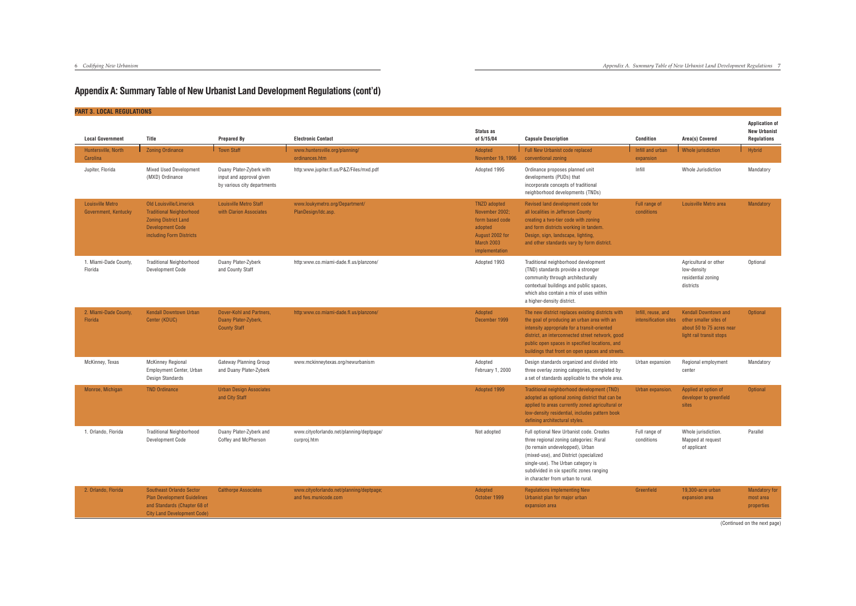| <b>PART 3. LOCAL REGULATIONS</b>                |                                                                                                                                                  |                                                                                     |                                                                  |                                                                                                                               |                                                                                                                                                                                                                                                                                                            |                                             |                                                                                                                |                                                                    |
|-------------------------------------------------|--------------------------------------------------------------------------------------------------------------------------------------------------|-------------------------------------------------------------------------------------|------------------------------------------------------------------|-------------------------------------------------------------------------------------------------------------------------------|------------------------------------------------------------------------------------------------------------------------------------------------------------------------------------------------------------------------------------------------------------------------------------------------------------|---------------------------------------------|----------------------------------------------------------------------------------------------------------------|--------------------------------------------------------------------|
| <b>Local Government</b>                         | Title                                                                                                                                            | <b>Prepared By</b>                                                                  | <b>Electronic Contact</b>                                        | Status as<br>of 5/15/04                                                                                                       | <b>Capsule Description</b>                                                                                                                                                                                                                                                                                 | <b>Condition</b>                            | Area(s) Covered                                                                                                | <b>Application of</b><br><b>New Urbanist</b><br><b>Regulations</b> |
| Huntersville, North<br>Carolina                 | <b>Zoning Ordinance</b>                                                                                                                          | <b>Town Staff</b>                                                                   | www.huntersville.org/planning/<br>ordinances.htm                 | Adopted<br>November 19, 1996                                                                                                  | Full New Urbanist code replaced<br>conventional zoning                                                                                                                                                                                                                                                     | Infill and urban<br>expansion               | <i>Vhole jurisdiction</i>                                                                                      | Hybrid                                                             |
| Jupiter, Florida                                | <b>Mixed Used Development</b><br>(MXD) Ordinance                                                                                                 | Duany Plater-Zyberk with<br>input and approval given<br>by various city departments | http:www.jupiter.fl.us/P&Z/Files/mxd.pdf                         | Adopted 1995                                                                                                                  | Ordinance proposes planned unit<br>developments (PUDs) that<br>incorporate concepts of traditional<br>neighborhood developments (TNDs)                                                                                                                                                                     | Infill                                      | Whole Jurisdiction                                                                                             | Mandatory                                                          |
| <b>Louisville Metro</b><br>Government, Kentucky | Old Louisville/Limerick<br><b>Traditional Neighborhood</b><br><b>Zoning District Land</b><br><b>Development Code</b><br>including Form Districts | <b>Louisville Metro Staff</b><br>with Clarion Associates                            | www.loukymetro.org/Department/<br>PlanDesign/Idc.asp.            | <b>TNZD</b> adopted<br>November 2002;<br>form based code<br>adopted<br>August 2002 for<br><b>March 2003</b><br>implementation | Revised land development code for<br>all localities in Jefferson County<br>creating a two-tier code with zoning<br>and form districts working in tandem.<br>Design, sign, landscape, lighting<br>and other standards vary by form district.                                                                | Full range of<br>conditions                 | Louisville Metro area                                                                                          | Mandatory                                                          |
| 1. Miami-Dade County,<br>Florida                | <b>Traditional Neighborhood</b><br>Development Code                                                                                              | Duany Plater-Zyberk<br>and County Staff                                             | http:www.co.miami-dade.fl.us/planzone/                           | Adopted 1993                                                                                                                  | Traditional neighborhood development<br>(TND) standards provide a stronger<br>community through architecturally<br>contextual buildings and public spaces,<br>which also contain a mix of uses within<br>a higher-density district.                                                                        |                                             | Agricultural or other<br>low-density<br>residential zoning<br>districts                                        | Optional                                                           |
| 2. Miami-Dade County,<br>Florida                | <b>Kendall Downtown Urban</b><br>Center (KDUC)                                                                                                   | Dover-Kohl and Partners,<br>Duany Plater-Zyberk.<br><b>County Staff</b>             | http:www.co.miami-dade.fl.us/planzone/                           | Adopted<br>December 1999                                                                                                      | The new district replaces existing districts with<br>the goal of producing an urban area with an<br>intensity appropriate for a transit-oriented<br>district, an interconnected street network, good<br>public open spaces in specified locations, and<br>buildings that front on open spaces and streets. | Infill, reuse, and<br>intensification sites | <b>Kendall Downtown and</b><br>other smaller sites of<br>about 50 to 75 acres near<br>light rail transit stops | <b>Optional</b>                                                    |
| McKinney, Texas                                 | <b>McKinney Regional</b><br><b>Employment Center, Urban</b><br>Design Standards                                                                  | Gateway Planning Group<br>and Duany Plater-Zyberk                                   | www.mckinneytexas.org/newurbanism                                | Adopted<br>February 1, 2000                                                                                                   | Design standards organized and divided into<br>three overlay zoning categories, completed by<br>a set of standards applicable to the whole area.                                                                                                                                                           | Urban expansion                             | Regional employment<br>center                                                                                  | Mandatory                                                          |
| Monroe, Michigan                                | <b>TND Ordinance</b>                                                                                                                             | <b>Urban Design Associates</b><br>and City Staff                                    |                                                                  | Adopted 1999                                                                                                                  | Traditional neighborhood development (TND)<br>adopted as optional zoning district that can be<br>applied to areas currently zoned agricultural or<br>low-density residential, includes pattern book<br>defining architectural styles.                                                                      | Urban expansion.                            | Applied at option of<br>developer to greenfield<br>sites                                                       | Optional                                                           |
| 1. Orlando, Florida                             | <b>Traditional Neighborhood</b><br>Development Code                                                                                              | Duany Plater-Zyberk and<br>Coffey and McPherson                                     | www.cityoforlando.net/planning/deptpage/<br>curproj.htm          | Not adopted                                                                                                                   | Full optional New Urbanist code. Creates<br>three regional zoning categories: Rural<br>(to remain undevelopped), Urban<br>(mixed-use), and District (specialized<br>single-use). The Urban category is<br>subdivided in six specific zones ranging<br>in character from urban to rural.                    | Full range of<br>conditions                 | Whole jurisdiction.<br>Mapped at request<br>of applicant                                                       | Parallel                                                           |
| 2. Orlando, Florida                             | Southeast Orlando Sector<br><b>Plan Development Guidelines</b><br>and Standards (Chapter 68 of<br><b>City Land Development Code)</b>             | <b>Calthorpe Associates</b>                                                         | www.cityoforlando.net/planning/deptpage;<br>and fws.municode.com | Adopted<br>October 1999                                                                                                       | <b>Regulations implementing New</b><br>Urbanist plan for major urban<br>expansion area                                                                                                                                                                                                                     | Greenfield                                  | 19,300-acre urban<br>expansion area                                                                            | <b>Mandatory for</b><br>most area<br>properties                    |

(Continued on the next page)